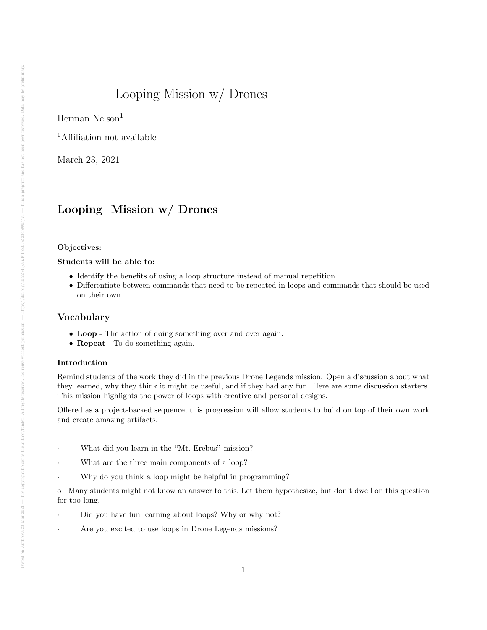# Looping Mission w/ Drones

Herman Nelson<sup>1</sup>

<sup>1</sup>Affiliation not available

March 23, 2021

# Looping Mission w/ Drones

#### Objectives:

#### Students will be able to:

- Identify the benefits of using a loop structure instead of manual repetition.
- Differentiate between commands that need to be repeated in loops and commands that should be used on their own.

#### Vocabulary

- Loop The action of doing something over and over again.
- Repeat To do something again.

#### Introduction

Remind students of the work they did in the previous Drone Legends mission. Open a discussion about what they learned, why they think it might be useful, and if they had any fun. Here are some discussion starters. This mission highlights the power of loops with creative and personal designs.

Offered as a project-backed sequence, this progression will allow students to build on top of their own work and create amazing artifacts.

- What did you learn in the "Mt. Erebus" mission?
- What are the three main components of a loop?
- Why do you think a loop might be helpful in programming?

o Many students might not know an answer to this. Let them hypothesize, but don't dwell on this question for too long.

- Did you have fun learning about loops? Why or why not?
- Are you excited to use loops in Drone Legends missions?